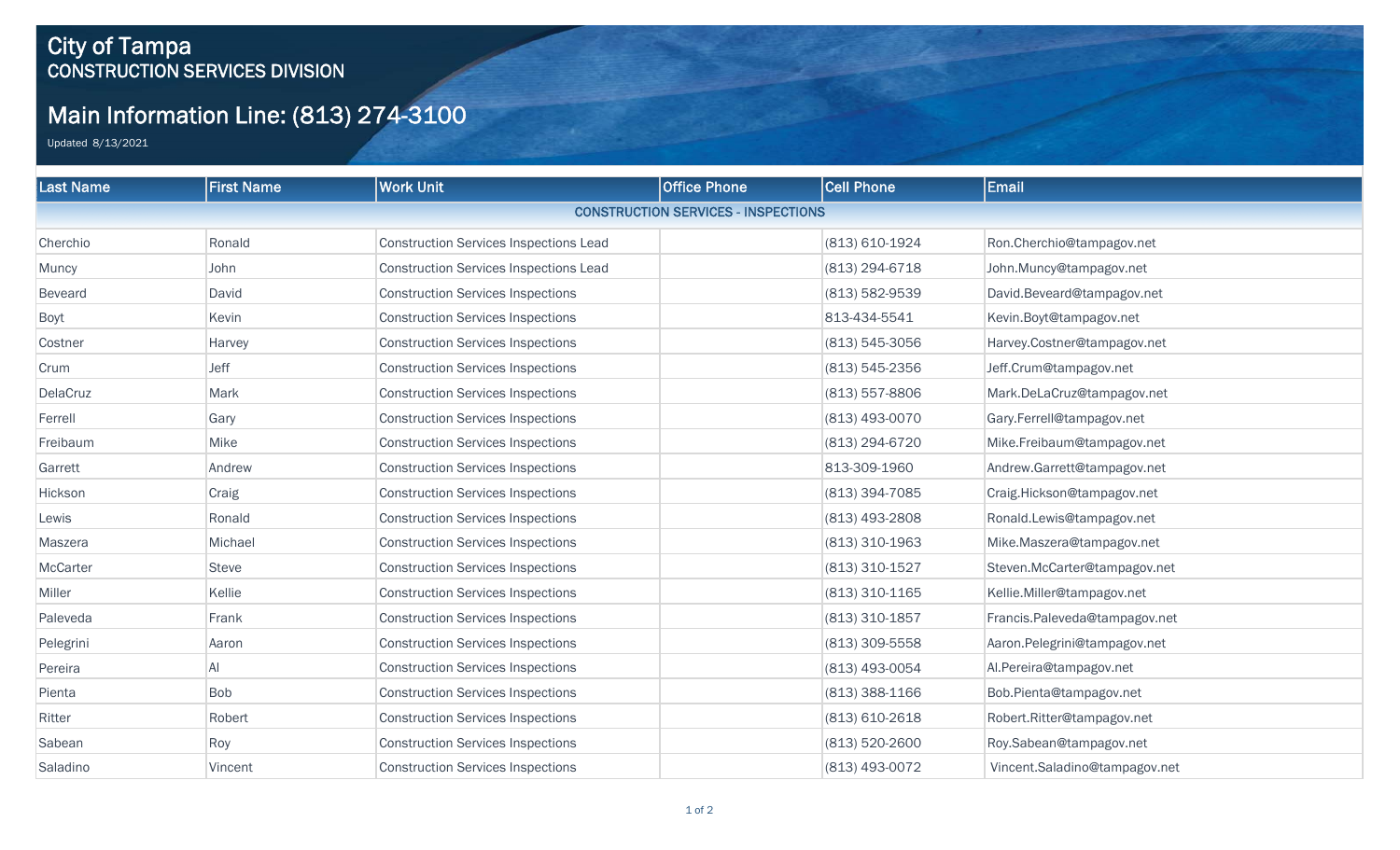## City of Tampa CONSTRUCTION SERVICES DIVISION

## Main Information Line: (813) 274-3100

Updated 8/13/2021

| <b>Last Name</b> | <b>First Name</b> | <b>Work Unit</b>                              | <b>Office Phone</b>                        | <b>Cell Phone</b>  | Email                         |
|------------------|-------------------|-----------------------------------------------|--------------------------------------------|--------------------|-------------------------------|
|                  |                   |                                               | <b>CONSTRUCTION SERVICES - INSPECTIONS</b> |                    |                               |
| Cherchio         | Ronald            | <b>Construction Services Inspections Lead</b> |                                            | (813) 610-1924     | Ron.Cherchio@tampagov.net     |
| Muncy            | John              | <b>Construction Services Inspections Lead</b> |                                            | (813) 294-6718     | John.Muncy@tampagov.net       |
| Beveard          | David             | <b>Construction Services Inspections</b>      |                                            | (813) 582-9539     | David.Beveard@tampagov.net    |
| Boyt             | Kevin             | <b>Construction Services Inspections</b>      |                                            | 813-434-5541       | Kevin.Boyt@tampagov.net       |
| Costner          | Harvey            | <b>Construction Services Inspections</b>      |                                            | $(813) 545 - 3056$ | Harvey.Costner@tampagov.net   |
| Crum             | Jeff              | <b>Construction Services Inspections</b>      |                                            | $(813) 545 - 2356$ | Jeff.Crum@tampagov.net        |
| DelaCruz         | Mark              | <b>Construction Services Inspections</b>      |                                            | $(813)$ 557-8806   | Mark.DeLaCruz@tampagov.net    |
| Ferrell          | Gary              | <b>Construction Services Inspections</b>      |                                            | (813) 493-0070     | Gary.Ferrell@tampagov.net     |
| Freibaum         | Mike              | <b>Construction Services Inspections</b>      |                                            | (813) 294-6720     | Mike.Freibaum@tampagov.net    |
| Garrett          | Andrew            | <b>Construction Services Inspections</b>      |                                            | 813-309-1960       | Andrew.Garrett@tampagov.net   |
| Hickson          | Craig             | <b>Construction Services Inspections</b>      |                                            | (813) 394-7085     | Craig.Hickson@tampagov.net    |
| Lewis            | Ronald            | <b>Construction Services Inspections</b>      |                                            | (813) 493-2808     | Ronald.Lewis@tampagov.net     |
| Maszera          | Michael           | <b>Construction Services Inspections</b>      |                                            | (813) 310-1963     | Mike.Maszera@tampagov.net     |
| McCarter         | <b>Steve</b>      | <b>Construction Services Inspections</b>      |                                            | (813) 310-1527     | Steven.McCarter@tampagov.net  |
| Miller           | Kellie            | <b>Construction Services Inspections</b>      |                                            | (813) 310-1165     | Kellie.Miller@tampagov.net    |
| Paleveda         | Frank             | <b>Construction Services Inspections</b>      |                                            | $(813)$ 310-1857   | Francis.Paleveda@tampagov.net |
| Pelegrini        | Aaron             | <b>Construction Services Inspections</b>      |                                            | (813) 309-5558     | Aaron.Pelegrini@tampagov.net  |
| Pereira          | Al                | <b>Construction Services Inspections</b>      |                                            | (813) 493-0054     | Al.Pereira@tampagov.net       |
| Pienta           | <b>Bob</b>        | <b>Construction Services Inspections</b>      |                                            | $(813)$ 388-1166   | Bob.Pienta@tampagov.net       |
| Ritter           | Robert            | <b>Construction Services Inspections</b>      |                                            | $(813)$ 610-2618   | Robert.Ritter@tampagov.net    |
| Sabean           | Roy               | <b>Construction Services Inspections</b>      |                                            | (813) 520-2600     | Roy.Sabean@tampagov.net       |
| Saladino         | Vincent           | <b>Construction Services Inspections</b>      |                                            | (813) 493-0072     | Vincent.Saladino@tampagov.net |